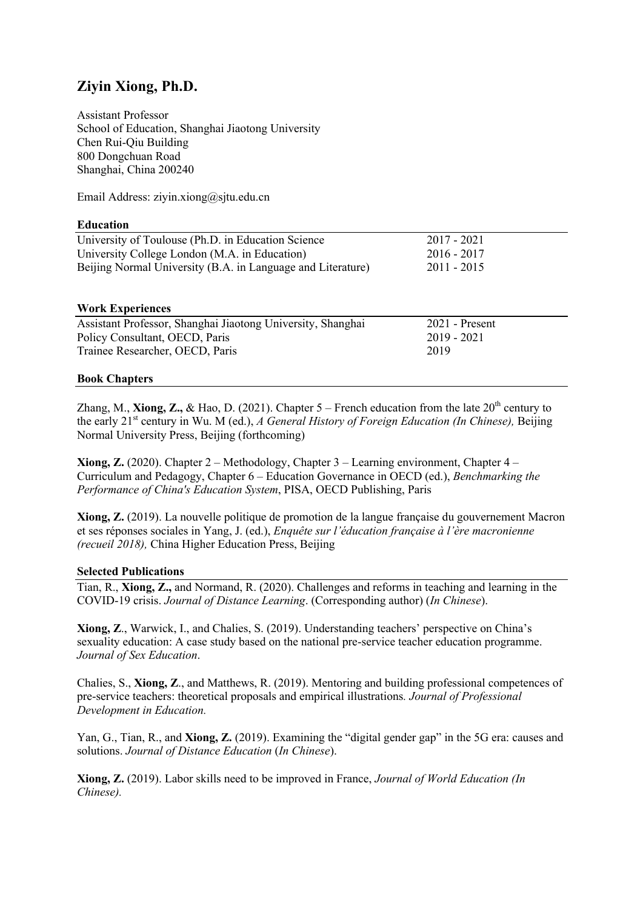# **Ziyin Xiong, Ph.D.**

Assistant Professor School of Education, Shanghai Jiaotong University Chen Rui-Qiu Building 800 Dongchuan Road Shanghai, China 200240

Email Address: ziyin.xiong@sjtu.edu.cn

## **Education**

| University of Toulouse (Ph.D. in Education Science)         | 2017 - 2021   |
|-------------------------------------------------------------|---------------|
| University College London (M.A. in Education)               | $2016 - 2017$ |
| Beijing Normal University (B.A. in Language and Literature) | $2011 - 2015$ |

## **Work Experiences**

| Assistant Professor, Shanghai Jiaotong University, Shanghai | $2021$ - Present |
|-------------------------------------------------------------|------------------|
| Policy Consultant, OECD, Paris                              | 2019 - 2021      |
| Trainee Researcher, OECD, Paris                             | 2019             |

## **Book Chapters**

Zhang, M., **Xiong, Z.,** & Hao, D. (2021). Chapter  $5$  – French education from the late  $20<sup>th</sup>$  century to the early 21st century in Wu. M (ed.), *A General History of Foreign Education (In Chinese),* Beijing Normal University Press, Beijing (forthcoming)

**Xiong, Z.** (2020). Chapter 2 – Methodology, Chapter 3 – Learning environment, Chapter 4 – Curriculum and Pedagogy, Chapter 6 – Education Governance in OECD (ed.), *Benchmarking the Performance of China's Education System*, PISA, OECD Publishing, Paris

**Xiong, Z.** (2019). La nouvelle politique de promotion de la langue française du gouvernement Macron et ses réponses sociales in Yang, J. (ed.), *Enquête sur l'éducation française à l'ère macronienne (recueil 2018),* China Higher Education Press, Beijing

## **Selected Publications**

Tian, R., **Xiong, Z.,** and Normand, R. (2020). Challenges and reforms in teaching and learning in the COVID-19 crisis. *Journal of Distance Learning*. (Corresponding author) (*In Chinese*).

**Xiong, Z**., Warwick, I., and Chalies, S. (2019). Understanding teachers' perspective on China's sexuality education: A case study based on the national pre-service teacher education programme. *Journal of Sex Education*.

Chalies, S., **Xiong, Z**., and Matthews, R. (2019). Mentoring and building professional competences of pre-service teachers: theoretical proposals and empirical illustrations*. Journal of Professional Development in Education.*

Yan, G., Tian, R., and **Xiong, Z.** (2019). Examining the "digital gender gap" in the 5G era: causes and solutions. *Journal of Distance Education* (*In Chinese*).

**Xiong, Z.** (2019). Labor skills need to be improved in France, *Journal of World Education (In Chinese).*